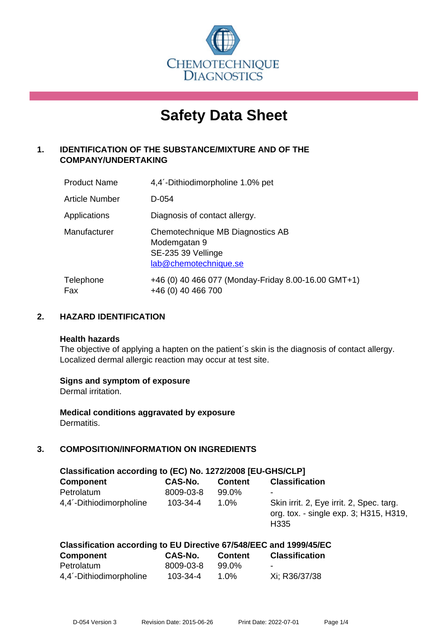

# **Safety Data Sheet**

# **1. IDENTIFICATION OF THE SUBSTANCE/MIXTURE AND OF THE COMPANY/UNDERTAKING**

| <b>Product Name</b> | 4,4'-Dithiodimorpholine 1.0% pet                                                                |
|---------------------|-------------------------------------------------------------------------------------------------|
| Article Number      | D-054                                                                                           |
| Applications        | Diagnosis of contact allergy.                                                                   |
| Manufacturer        | Chemotechnique MB Diagnostics AB<br>Modemgatan 9<br>SE-235 39 Vellinge<br>lab@chemotechnique.se |
| Telephone<br>Fax    | +46 (0) 40 466 077 (Monday-Friday 8.00-16.00 GMT+1)<br>+46 (0) 40 466 700                       |

## **2. HAZARD IDENTIFICATION**

#### **Health hazards**

The objective of applying a hapten on the patient's skin is the diagnosis of contact allergy. Localized dermal allergic reaction may occur at test site.

## **Signs and symptom of exposure**

Dermal irritation.

**Medical conditions aggravated by exposure** Dermatitis.

# **3. COMPOSITION/INFORMATION ON INGREDIENTS**

| Classification according to (EC) No. 1272/2008 [EU-GHS/CLP] |           |                |                                                                                                        |  |  |
|-------------------------------------------------------------|-----------|----------------|--------------------------------------------------------------------------------------------------------|--|--|
| <b>Component</b>                                            | CAS-No.   | <b>Content</b> | <b>Classification</b>                                                                                  |  |  |
| Petrolatum                                                  | 8009-03-8 | 99.0%          | ۰                                                                                                      |  |  |
| 4,4 <sup>'</sup> -Dithiodimorpholine                        | 103-34-4  | $1.0\%$        | Skin irrit. 2, Eye irrit. 2, Spec. targ.<br>org. tox. - single exp. 3; H315, H319,<br>H <sub>335</sub> |  |  |

| Classification according to EU Directive 67/548/EEC and 1999/45/EC |           |                |                       |  |
|--------------------------------------------------------------------|-----------|----------------|-----------------------|--|
| <b>Component</b>                                                   | CAS-No.   | <b>Content</b> | <b>Classification</b> |  |
| Petrolatum                                                         | 8009-03-8 | 99.0%          | $\blacksquare$        |  |
| .                                                                  |           |                |                       |  |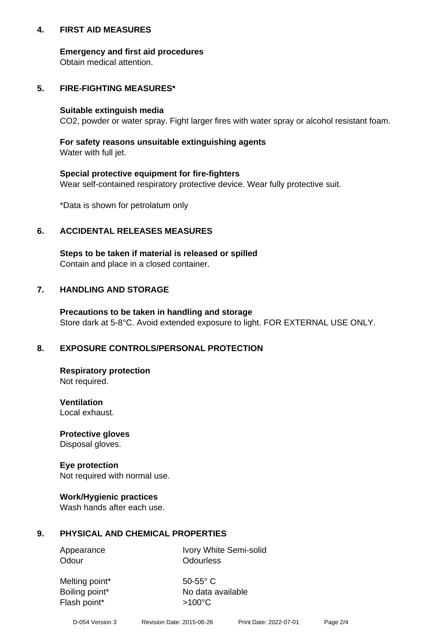## **4. FIRST AID MEASURES**

## **Emergency and first aid procedures**

Obtain medical attention.

# **5. FIRE-FIGHTING MEASURES\***

#### **Suitable extinguish media**

CO2, powder or water spray. Fight larger fires with water spray or alcohol resistant foam.

# **For safety reasons unsuitable extinguishing agents**

Water with full jet.

## **Special protective equipment for fire-fighters**

Wear self-contained respiratory protective device. Wear fully protective suit.

\*Data is shown for petrolatum only

## **6. ACCIDENTAL RELEASES MEASURES**

**Steps to be taken if material is released or spilled** Contain and place in a closed container.

## **7. HANDLING AND STORAGE**

**Precautions to be taken in handling and storage** Store dark at 5-8°C. Avoid extended exposure to light. FOR EXTERNAL USE ONLY.

# **8. EXPOSURE CONTROLS/PERSONAL PROTECTION**

**Respiratory protection** Not required.

**Ventilation** Local exhaust.

**Protective gloves** Disposal gloves.

#### **Eye protection** Not required with normal use.

## **Work/Hygienic practices**

Wash hands after each use.

## **9. PHYSICAL AND CHEMICAL PROPERTIES**

Odour **Odourless** 

Appearance Ivory White Semi-solid

Melting point\* 50-55° C Flash point\*  $>100^{\circ}$ C

Boiling point\* No data available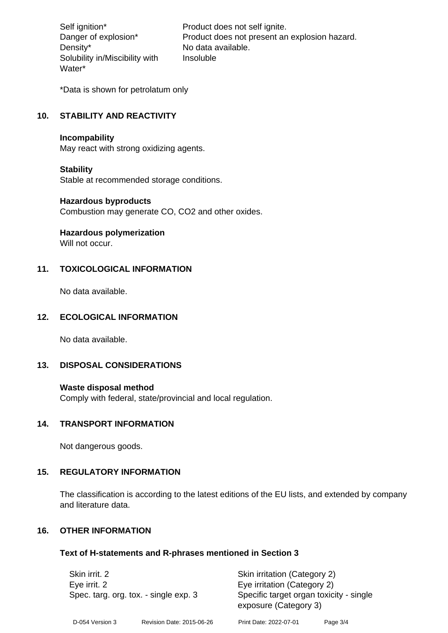Density\* No data available. Solubility in/Miscibility with Water\*

Self ignition\* Product does not self ignite. Danger of explosion\* Product does not present an explosion hazard. Insoluble

\*Data is shown for petrolatum only

# **10. STABILITY AND REACTIVITY**

#### **Incompability**

May react with strong oxidizing agents.

#### **Stability**

Stable at recommended storage conditions.

#### **Hazardous byproducts**

Combustion may generate CO, CO2 and other oxides.

**Hazardous polymerization**

Will not occur.

# **11. TOXICOLOGICAL INFORMATION**

No data available.

# **12. ECOLOGICAL INFORMATION**

No data available.

## **13. DISPOSAL CONSIDERATIONS**

#### **Waste disposal method**

Comply with federal, state/provincial and local regulation.

#### **14. TRANSPORT INFORMATION**

Not dangerous goods.

## **15. REGULATORY INFORMATION**

The classification is according to the latest editions of the EU lists, and extended by company and literature data.

#### **16. OTHER INFORMATION**

#### **Text of H-statements and R-phrases mentioned in Section 3**

| Skin irrit. 2<br>Eye irrit. 2<br>Spec. targ. org. tox. - single exp. 3 |                           | Skin irritation (Category 2)<br>Eye irritation (Category 2)<br>Specific target organ toxicity - single<br>exposure (Category 3) |          |
|------------------------------------------------------------------------|---------------------------|---------------------------------------------------------------------------------------------------------------------------------|----------|
| D-054 Version 3                                                        | Revision Date: 2015-06-26 | Print Date: 2022-07-01                                                                                                          | Page 3/4 |